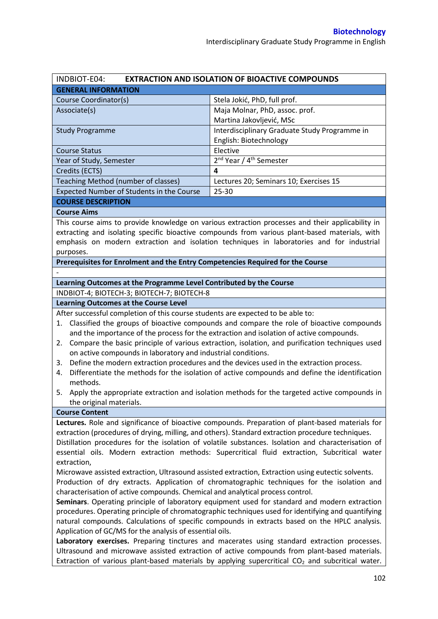| INDBIOT-E04:<br><b>EXTRACTION AND ISOLATION OF BIOACTIVE COMPOUNDS</b>                                                                                                                                                                                                                                                                                                                                                                                                                                                                                                                                                                                                                                                                                                                                                                                                                                                                                                                                                                                                                                                                                                             |                                                                                                                                                                                                                                                                                                 |  |  |  |
|------------------------------------------------------------------------------------------------------------------------------------------------------------------------------------------------------------------------------------------------------------------------------------------------------------------------------------------------------------------------------------------------------------------------------------------------------------------------------------------------------------------------------------------------------------------------------------------------------------------------------------------------------------------------------------------------------------------------------------------------------------------------------------------------------------------------------------------------------------------------------------------------------------------------------------------------------------------------------------------------------------------------------------------------------------------------------------------------------------------------------------------------------------------------------------|-------------------------------------------------------------------------------------------------------------------------------------------------------------------------------------------------------------------------------------------------------------------------------------------------|--|--|--|
| <b>GENERAL INFORMATION</b>                                                                                                                                                                                                                                                                                                                                                                                                                                                                                                                                                                                                                                                                                                                                                                                                                                                                                                                                                                                                                                                                                                                                                         |                                                                                                                                                                                                                                                                                                 |  |  |  |
| Course Coordinator(s)                                                                                                                                                                                                                                                                                                                                                                                                                                                                                                                                                                                                                                                                                                                                                                                                                                                                                                                                                                                                                                                                                                                                                              | Stela Jokić, PhD, full prof.                                                                                                                                                                                                                                                                    |  |  |  |
| Associate(s)                                                                                                                                                                                                                                                                                                                                                                                                                                                                                                                                                                                                                                                                                                                                                                                                                                                                                                                                                                                                                                                                                                                                                                       | Maja Molnar, PhD, assoc. prof.                                                                                                                                                                                                                                                                  |  |  |  |
|                                                                                                                                                                                                                                                                                                                                                                                                                                                                                                                                                                                                                                                                                                                                                                                                                                                                                                                                                                                                                                                                                                                                                                                    | Martina Jakovljević, MSc                                                                                                                                                                                                                                                                        |  |  |  |
| <b>Study Programme</b>                                                                                                                                                                                                                                                                                                                                                                                                                                                                                                                                                                                                                                                                                                                                                                                                                                                                                                                                                                                                                                                                                                                                                             | Interdisciplinary Graduate Study Programme in                                                                                                                                                                                                                                                   |  |  |  |
|                                                                                                                                                                                                                                                                                                                                                                                                                                                                                                                                                                                                                                                                                                                                                                                                                                                                                                                                                                                                                                                                                                                                                                                    | English: Biotechnology                                                                                                                                                                                                                                                                          |  |  |  |
| <b>Course Status</b>                                                                                                                                                                                                                                                                                                                                                                                                                                                                                                                                                                                                                                                                                                                                                                                                                                                                                                                                                                                                                                                                                                                                                               | Elective                                                                                                                                                                                                                                                                                        |  |  |  |
| Year of Study, Semester                                                                                                                                                                                                                                                                                                                                                                                                                                                                                                                                                                                                                                                                                                                                                                                                                                                                                                                                                                                                                                                                                                                                                            | 2 <sup>nd</sup> Year / 4 <sup>th</sup> Semester                                                                                                                                                                                                                                                 |  |  |  |
| Credits (ECTS)                                                                                                                                                                                                                                                                                                                                                                                                                                                                                                                                                                                                                                                                                                                                                                                                                                                                                                                                                                                                                                                                                                                                                                     | 4                                                                                                                                                                                                                                                                                               |  |  |  |
| Teaching Method (number of classes)                                                                                                                                                                                                                                                                                                                                                                                                                                                                                                                                                                                                                                                                                                                                                                                                                                                                                                                                                                                                                                                                                                                                                | Lectures 20; Seminars 10; Exercises 15                                                                                                                                                                                                                                                          |  |  |  |
| Expected Number of Students in the Course                                                                                                                                                                                                                                                                                                                                                                                                                                                                                                                                                                                                                                                                                                                                                                                                                                                                                                                                                                                                                                                                                                                                          | 25-30                                                                                                                                                                                                                                                                                           |  |  |  |
| <b>COURSE DESCRIPTION</b>                                                                                                                                                                                                                                                                                                                                                                                                                                                                                                                                                                                                                                                                                                                                                                                                                                                                                                                                                                                                                                                                                                                                                          |                                                                                                                                                                                                                                                                                                 |  |  |  |
| <b>Course Aims</b>                                                                                                                                                                                                                                                                                                                                                                                                                                                                                                                                                                                                                                                                                                                                                                                                                                                                                                                                                                                                                                                                                                                                                                 |                                                                                                                                                                                                                                                                                                 |  |  |  |
| purposes.                                                                                                                                                                                                                                                                                                                                                                                                                                                                                                                                                                                                                                                                                                                                                                                                                                                                                                                                                                                                                                                                                                                                                                          | This course aims to provide knowledge on various extraction processes and their applicability in<br>extracting and isolating specific bioactive compounds from various plant-based materials, with<br>emphasis on modern extraction and isolation techniques in laboratories and for industrial |  |  |  |
| Prerequisites for Enrolment and the Entry Competencies Required for the Course                                                                                                                                                                                                                                                                                                                                                                                                                                                                                                                                                                                                                                                                                                                                                                                                                                                                                                                                                                                                                                                                                                     |                                                                                                                                                                                                                                                                                                 |  |  |  |
|                                                                                                                                                                                                                                                                                                                                                                                                                                                                                                                                                                                                                                                                                                                                                                                                                                                                                                                                                                                                                                                                                                                                                                                    |                                                                                                                                                                                                                                                                                                 |  |  |  |
| Learning Outcomes at the Programme Level Contributed by the Course                                                                                                                                                                                                                                                                                                                                                                                                                                                                                                                                                                                                                                                                                                                                                                                                                                                                                                                                                                                                                                                                                                                 |                                                                                                                                                                                                                                                                                                 |  |  |  |
| INDBIOT-4; BIOTECH-3; BIOTECH-7; BIOTECH-8                                                                                                                                                                                                                                                                                                                                                                                                                                                                                                                                                                                                                                                                                                                                                                                                                                                                                                                                                                                                                                                                                                                                         |                                                                                                                                                                                                                                                                                                 |  |  |  |
| <b>Learning Outcomes at the Course Level</b>                                                                                                                                                                                                                                                                                                                                                                                                                                                                                                                                                                                                                                                                                                                                                                                                                                                                                                                                                                                                                                                                                                                                       |                                                                                                                                                                                                                                                                                                 |  |  |  |
| After successful completion of this course students are expected to be able to:<br>Classified the groups of bioactive compounds and compare the role of bioactive compounds<br>1.<br>and the importance of the process for the extraction and isolation of active compounds.<br>Compare the basic principle of various extraction, isolation, and purification techniques used<br>2.<br>on active compounds in laboratory and industrial conditions.<br>Define the modern extraction procedures and the devices used in the extraction process.<br>3.<br>Differentiate the methods for the isolation of active compounds and define the identification<br>4.                                                                                                                                                                                                                                                                                                                                                                                                                                                                                                                       |                                                                                                                                                                                                                                                                                                 |  |  |  |
| methods.<br>5. Apply the appropriate extraction and isolation methods for the targeted active compounds in<br>the original materials.                                                                                                                                                                                                                                                                                                                                                                                                                                                                                                                                                                                                                                                                                                                                                                                                                                                                                                                                                                                                                                              |                                                                                                                                                                                                                                                                                                 |  |  |  |
| <b>Course Content</b>                                                                                                                                                                                                                                                                                                                                                                                                                                                                                                                                                                                                                                                                                                                                                                                                                                                                                                                                                                                                                                                                                                                                                              | Lectures. Role and significance of bioactive compounds. Preparation of plant-based materials for                                                                                                                                                                                                |  |  |  |
| extraction (procedures of drying, milling, and others). Standard extraction procedure techniques.<br>Distillation procedures for the isolation of volatile substances. Isolation and characterisation of<br>essential oils. Modern extraction methods: Supercritical fluid extraction, Subcritical water<br>extraction,<br>Microwave assisted extraction, Ultrasound assisted extraction, Extraction using eutectic solvents.<br>Production of dry extracts. Application of chromatographic techniques for the isolation and<br>characterisation of active compounds. Chemical and analytical process control.<br>Seminars. Operating principle of laboratory equipment used for standard and modern extraction<br>procedures. Operating principle of chromatographic techniques used for identifying and quantifying<br>natural compounds. Calculations of specific compounds in extracts based on the HPLC analysis.<br>Application of GC/MS for the analysis of essential oils.<br>Laboratory exercises. Preparing tinctures and macerates using standard extraction processes.<br>Ultrasound and microwave assisted extraction of active compounds from plant-based materials. |                                                                                                                                                                                                                                                                                                 |  |  |  |
|                                                                                                                                                                                                                                                                                                                                                                                                                                                                                                                                                                                                                                                                                                                                                                                                                                                                                                                                                                                                                                                                                                                                                                                    | Extraction of various plant-based materials by applying supercritical CO <sub>2</sub> and subcritical water.                                                                                                                                                                                    |  |  |  |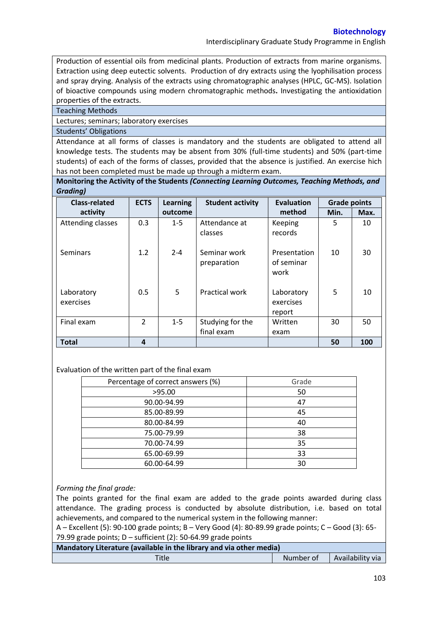Interdisciplinary Graduate Study Programme in English

Production of essential oils from medicinal plants. Production of extracts from marine organisms. Extraction using deep eutectic solvents. Production of dry extracts using the lyophilisation process and spray drying. Analysis of the extracts using chromatographic analyses (HPLC, GC-MS). Isolation of bioactive compounds using modern chromatographic methods**.** Investigating the antioxidation properties of the extracts.

#### Teaching Methods

Lectures; seminars; laboratory exercises

#### Students' Obligations

Attendance at all forms of classes is mandatory and the students are obligated to attend all knowledge tests. The students may be absent from 30% (full-time students) and 50% (part-time students) of each of the forms of classes, provided that the absence is justified. An exercise hich has not been completed must be made up through a midterm exam.

**Monitoring the Activity of the Students** *(Connecting Learning Outcomes, Teaching Methods, and Grading)*

| <b>Class-related</b>    | <b>ECTS</b>   | <b>Learning</b> | <b>Student activity</b>        | Evaluation                         | <b>Grade points</b> |      |
|-------------------------|---------------|-----------------|--------------------------------|------------------------------------|---------------------|------|
| activity                |               | outcome         |                                | method                             | Min.                | Max. |
| Attending classes       | 0.3           | $1 - 5$         | Attendance at<br>classes       | Keeping<br>records                 | 5                   | 10   |
| <b>Seminars</b>         | 1.2           | $2 - 4$         | Seminar work<br>preparation    | Presentation<br>of seminar<br>work | 10                  | 30   |
| Laboratory<br>exercises | 0.5           | 5               | <b>Practical work</b>          | Laboratory<br>exercises<br>report  | 5                   | 10   |
| Final exam              | $\mathcal{P}$ | $1 - 5$         | Studying for the<br>final exam | Written<br>exam                    | 30                  | 50   |
| <b>Total</b>            | 4             |                 |                                |                                    | 50                  | 100  |

## Evaluation of the written part of the final exam

| Percentage of correct answers (%) | Grade |
|-----------------------------------|-------|
| >95.00                            | 50    |
| 90.00-94.99                       | 47    |
| 85.00-89.99                       | 45    |
| 80.00-84.99                       | 40    |
| 75.00-79.99                       | 38    |
| 70.00-74.99                       | 35    |
| 65.00-69.99                       | 33    |
| 60.00-64.99                       | 30    |

## *Forming the final grade:*

The points granted for the final exam are added to the grade points awarded during class attendance. The grading process is conducted by absolute distribution, i.e. based on total achievements, and compared to the numerical system in the following manner:

A – Excellent (5): 90-100 grade points; B – Very Good (4): 80-89.99 grade points; C – Good (3): 65- 79.99 grade points;  $D$  – sufficient (2): 50-64.99 grade points

| Mandatory Literature (available in the library and via other media) |           |                  |  |  |
|---------------------------------------------------------------------|-----------|------------------|--|--|
| Title                                                               | Number of | Availability via |  |  |